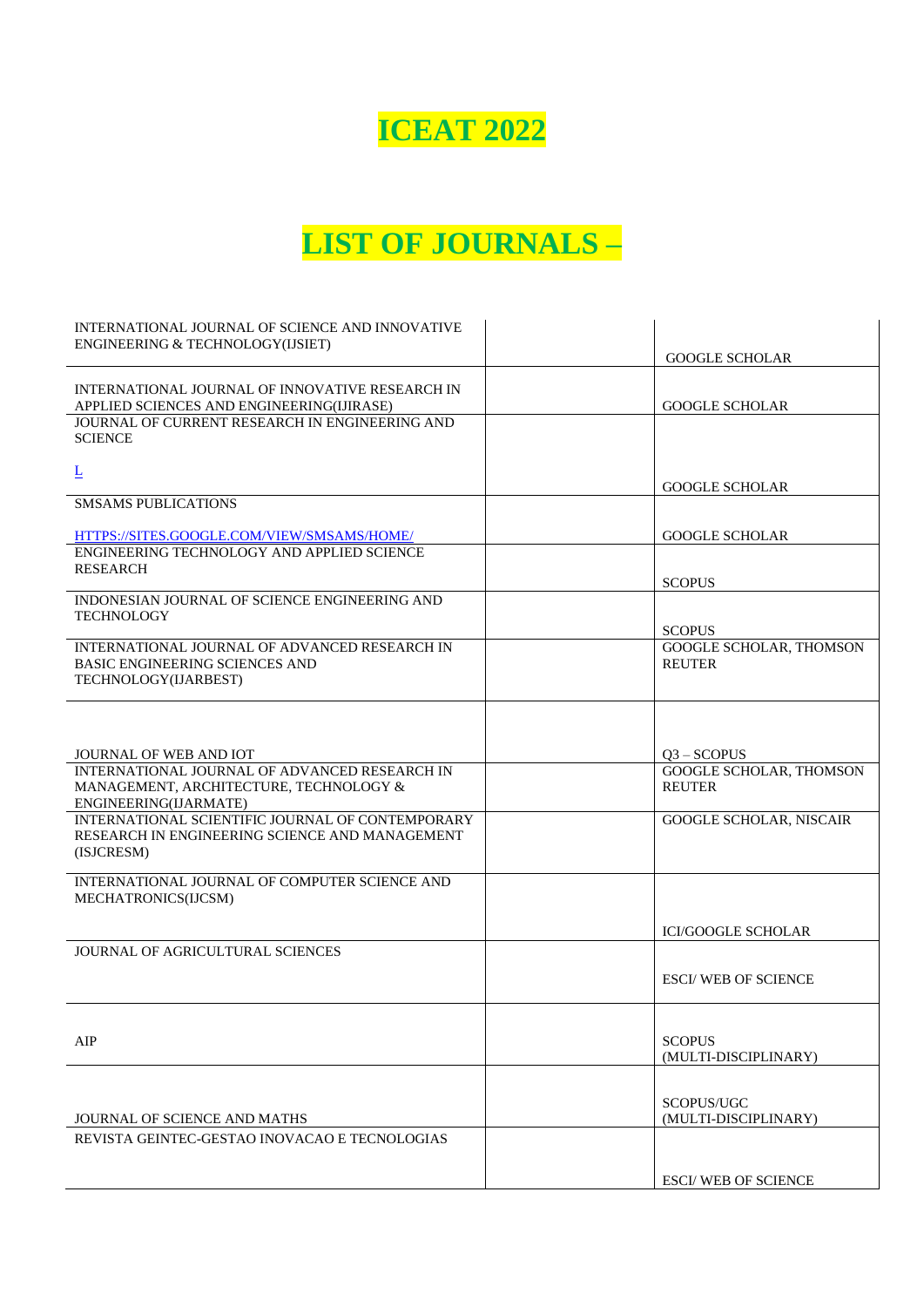## **ICEAT 2022**

## **LIST OF JOURNALS –**

| INTERNATIONAL JOURNAL OF SCIENCE AND INNOVATIVE                                                                  |                                                 |
|------------------------------------------------------------------------------------------------------------------|-------------------------------------------------|
| ENGINEERING & TECHNOLOGY(IJSIET)                                                                                 | <b>GOOGLE SCHOLAR</b>                           |
|                                                                                                                  |                                                 |
| INTERNATIONAL JOURNAL OF INNOVATIVE RESEARCH IN<br>APPLIED SCIENCES AND ENGINEERING(IJIRASE)                     | <b>GOOGLE SCHOLAR</b>                           |
| JOURNAL OF CURRENT RESEARCH IN ENGINEERING AND<br><b>SCIENCE</b>                                                 |                                                 |
| $\overline{\mathsf{r}}$                                                                                          | <b>GOOGLE SCHOLAR</b>                           |
| <b>SMSAMS PUBLICATIONS</b>                                                                                       |                                                 |
| HTTPS://SITES.GOOGLE.COM/VIEW/SMSAMS/HOME/                                                                       | <b>GOOGLE SCHOLAR</b>                           |
| ENGINEERING TECHNOLOGY AND APPLIED SCIENCE<br>RESEARCH                                                           |                                                 |
|                                                                                                                  | <b>SCOPUS</b>                                   |
| INDONESIAN JOURNAL OF SCIENCE ENGINEERING AND<br><b>TECHNOLOGY</b>                                               |                                                 |
| INTERNATIONAL JOURNAL OF ADVANCED RESEARCH IN                                                                    | <b>SCOPUS</b><br><b>GOOGLE SCHOLAR, THOMSON</b> |
| <b>BASIC ENGINEERING SCIENCES AND</b><br>TECHNOLOGY(IJARBEST)                                                    | <b>REUTER</b>                                   |
|                                                                                                                  |                                                 |
| JOURNAL OF WEB AND IOT                                                                                           | $Q3 - SCOPUS$                                   |
| INTERNATIONAL JOURNAL OF ADVANCED RESEARCH IN<br>MANAGEMENT, ARCHITECTURE, TECHNOLOGY &<br>ENGINEERING(IJARMATE) | GOOGLE SCHOLAR, THOMSON<br><b>REUTER</b>        |
| INTERNATIONAL SCIENTIFIC JOURNAL OF CONTEMPORARY<br>RESEARCH IN ENGINEERING SCIENCE AND MANAGEMENT<br>(ISJCRESM) | <b>GOOGLE SCHOLAR, NISCAIR</b>                  |
| INTERNATIONAL JOURNAL OF COMPUTER SCIENCE AND<br>MECHATRONICS(IJCSM)                                             |                                                 |
|                                                                                                                  | <b>ICI/GOOGLE SCHOLAR</b>                       |
| JOURNAL OF AGRICULTURAL SCIENCES                                                                                 |                                                 |
|                                                                                                                  | <b>ESCI/ WEB OF SCIENCE</b>                     |
|                                                                                                                  |                                                 |
| AIP                                                                                                              | <b>SCOPUS</b><br>(MULTI-DISCIPLINARY)           |
|                                                                                                                  |                                                 |
| <b>JOURNAL OF SCIENCE AND MATHS</b>                                                                              | SCOPUS/UGC<br>(MULTI-DISCIPLINARY)              |
| REVISTA GEINTEC-GESTAO INOVACAO E TECNOLOGIAS                                                                    |                                                 |
|                                                                                                                  | <b>ESCI/ WEB OF SCIENCE</b>                     |
|                                                                                                                  |                                                 |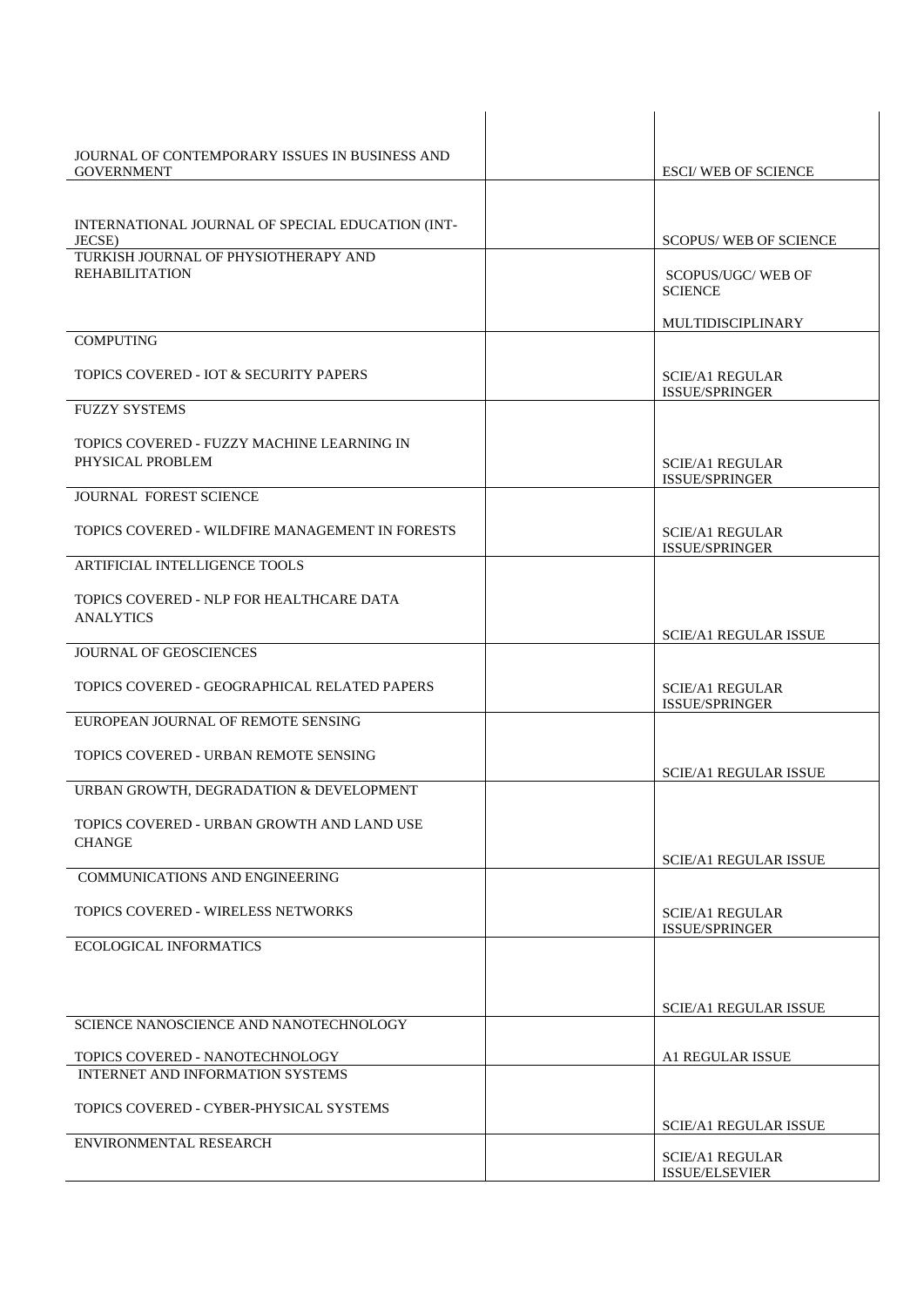| JOURNAL OF CONTEMPORARY ISSUES IN BUSINESS AND<br><b>GOVERNMENT</b>        |                                                 |
|----------------------------------------------------------------------------|-------------------------------------------------|
|                                                                            | <b>ESCI/ WEB OF SCIENCE</b>                     |
| INTERNATIONAL JOURNAL OF SPECIAL EDUCATION (INT-                           |                                                 |
| JECSE)                                                                     | <b>SCOPUS/ WEB OF SCIENCE</b>                   |
| TURKISH JOURNAL OF PHYSIOTHERAPY AND<br><b>REHABILITATION</b>              | <b>SCOPUS/UGC/ WEB OF</b>                       |
|                                                                            | <b>SCIENCE</b>                                  |
|                                                                            | MULTIDISCIPLINARY                               |
| <b>COMPUTING</b>                                                           |                                                 |
| TOPICS COVERED - IOT & SECURITY PAPERS                                     | <b>SCIE/A1 REGULAR</b>                          |
| <b>FUZZY SYSTEMS</b>                                                       | <b>ISSUE/SPRINGER</b>                           |
|                                                                            |                                                 |
| TOPICS COVERED - FUZZY MACHINE LEARNING IN<br>PHYSICAL PROBLEM             | <b>SCIE/A1 REGULAR</b>                          |
|                                                                            | ISSUE/SPRINGER                                  |
| <b>JOURNAL FOREST SCIENCE</b>                                              |                                                 |
| TOPICS COVERED - WILDFIRE MANAGEMENT IN FORESTS                            | <b>SCIE/A1 REGULAR</b>                          |
| ARTIFICIAL INTELLIGENCE TOOLS                                              | <b>ISSUE/SPRINGER</b>                           |
|                                                                            |                                                 |
| TOPICS COVERED - NLP FOR HEALTHCARE DATA<br><b>ANALYTICS</b>               |                                                 |
|                                                                            | <b>SCIE/A1 REGULAR ISSUE</b>                    |
| <b>JOURNAL OF GEOSCIENCES</b>                                              |                                                 |
| TOPICS COVERED - GEOGRAPHICAL RELATED PAPERS                               | <b>SCIE/A1 REGULAR</b><br>ISSUE/SPRINGER        |
| EUROPEAN JOURNAL OF REMOTE SENSING                                         |                                                 |
| TOPICS COVERED - URBAN REMOTE SENSING                                      |                                                 |
|                                                                            | <b>SCIE/A1 REGULAR ISSUE</b>                    |
| URBAN GROWTH, DEGRADATION & DEVELOPMENT                                    |                                                 |
| TOPICS COVERED - URBAN GROWTH AND LAND USE                                 |                                                 |
| <b>CHANGE</b>                                                              | <b>SCIE/A1 REGULAR ISSUE</b>                    |
| <b>COMMUNICATIONS AND ENGINEERING</b>                                      |                                                 |
| TOPICS COVERED - WIRELESS NETWORKS                                         | <b>SCIE/A1 REGULAR</b>                          |
| <b>ECOLOGICAL INFORMATICS</b>                                              | ISSUE/SPRINGER                                  |
|                                                                            |                                                 |
|                                                                            |                                                 |
| SCIENCE NANOSCIENCE AND NANOTECHNOLOGY                                     | <b>SCIE/A1 REGULAR ISSUE</b>                    |
|                                                                            |                                                 |
| TOPICS COVERED - NANOTECHNOLOGY<br><b>INTERNET AND INFORMATION SYSTEMS</b> | <b>A1 REGULAR ISSUE</b>                         |
|                                                                            |                                                 |
| TOPICS COVERED - CYBER-PHYSICAL SYSTEMS                                    | <b>SCIE/A1 REGULAR ISSUE</b>                    |
| ENVIRONMENTAL RESEARCH                                                     |                                                 |
|                                                                            | <b>SCIE/A1 REGULAR</b><br><b>ISSUE/ELSEVIER</b> |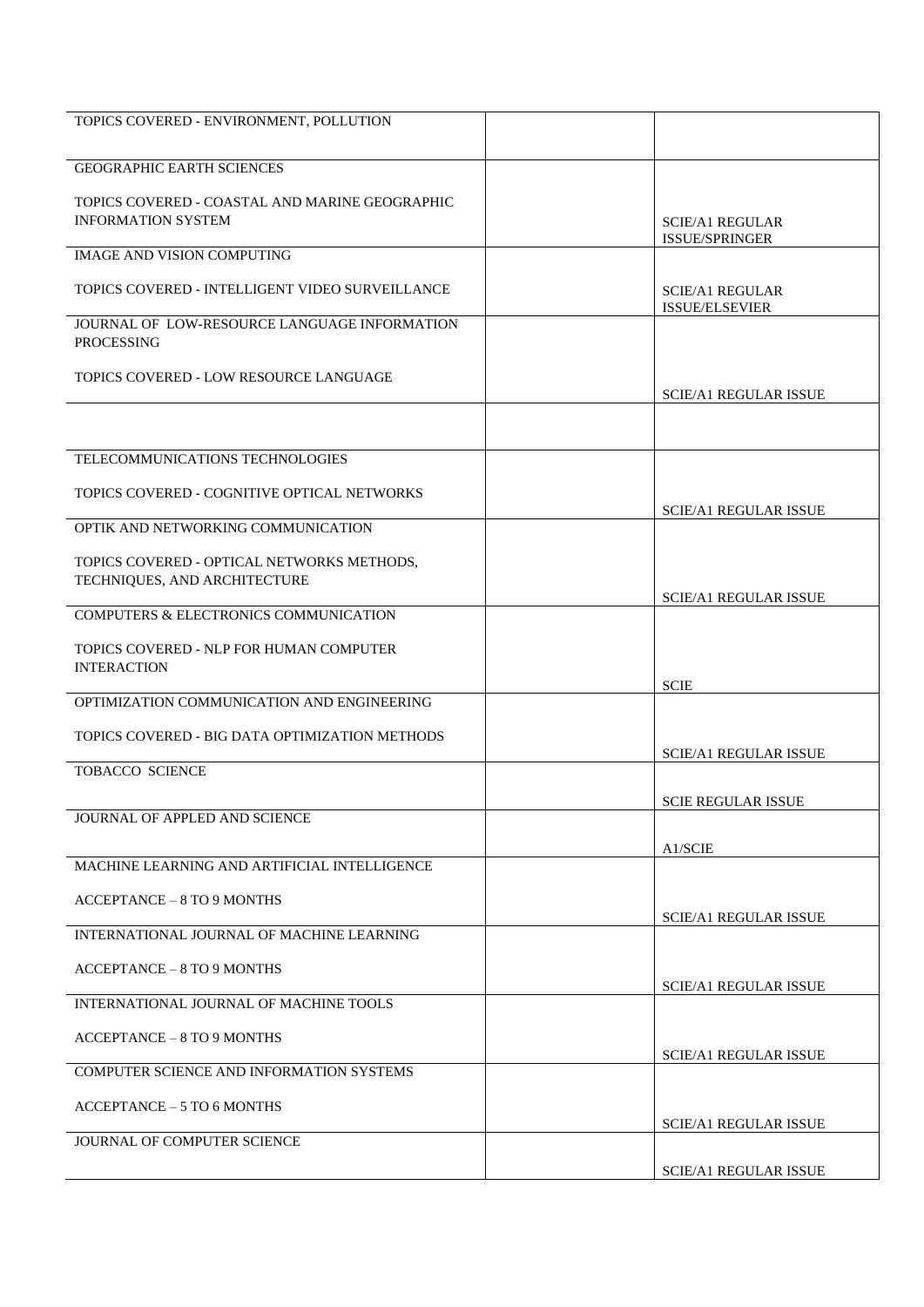| TOPICS COVERED - ENVIRONMENT, POLLUTION         |                                          |
|-------------------------------------------------|------------------------------------------|
|                                                 |                                          |
| <b>GEOGRAPHIC EARTH SCIENCES</b>                |                                          |
| TOPICS COVERED - COASTAL AND MARINE GEOGRAPHIC  |                                          |
| <b>INFORMATION SYSTEM</b>                       | <b>SCIE/A1 REGULAR</b>                   |
|                                                 | ISSUE/SPRINGER                           |
| <b>IMAGE AND VISION COMPUTING</b>               |                                          |
| TOPICS COVERED - INTELLIGENT VIDEO SURVEILLANCE | <b>SCIE/A1 REGULAR</b><br>ISSUE/ELSEVIER |
| JOURNAL OF LOW-RESOURCE LANGUAGE INFORMATION    |                                          |
| <b>PROCESSING</b>                               |                                          |
| TOPICS COVERED - LOW RESOURCE LANGUAGE          |                                          |
|                                                 | <b>SCIE/A1 REGULAR ISSUE</b>             |
|                                                 |                                          |
| TELECOMMUNICATIONS TECHNOLOGIES                 |                                          |
| TOPICS COVERED - COGNITIVE OPTICAL NETWORKS     |                                          |
|                                                 | <b>SCIE/A1 REGULAR ISSUE</b>             |
| OPTIK AND NETWORKING COMMUNICATION              |                                          |
| TOPICS COVERED - OPTICAL NETWORKS METHODS,      |                                          |
| TECHNIQUES, AND ARCHITECTURE                    |                                          |
| COMPUTERS & ELECTRONICS COMMUNICATION           | <b>SCIE/A1 REGULAR ISSUE</b>             |
|                                                 |                                          |
| TOPICS COVERED - NLP FOR HUMAN COMPUTER         |                                          |
| <b>INTERACTION</b>                              | <b>SCIE</b>                              |
| OPTIMIZATION COMMUNICATION AND ENGINEERING      |                                          |
| TOPICS COVERED - BIG DATA OPTIMIZATION METHODS  |                                          |
|                                                 | <b>SCIE/A1 REGULAR ISSUE</b>             |
| <b>TOBACCO SCIENCE</b>                          |                                          |
|                                                 | <b>SCIE REGULAR ISSUE</b>                |
| JOURNAL OF APPLED AND SCIENCE                   |                                          |
|                                                 | A1/SCIE                                  |
| MACHINE LEARNING AND ARTIFICIAL INTELLIGENCE    |                                          |
| <b>ACCEPTANCE - 8 TO 9 MONTHS</b>               |                                          |
| INTERNATIONAL JOURNAL OF MACHINE LEARNING       | <b>SCIE/A1 REGULAR ISSUE</b>             |
|                                                 |                                          |
| ACCEPTANCE - 8 TO 9 MONTHS                      | <b>SCIE/A1 REGULAR ISSUE</b>             |
| INTERNATIONAL JOURNAL OF MACHINE TOOLS          |                                          |
|                                                 |                                          |
| <b>ACCEPTANCE - 8 TO 9 MONTHS</b>               | <b>SCIE/A1 REGULAR ISSUE</b>             |
| COMPUTER SCIENCE AND INFORMATION SYSTEMS        |                                          |
| <b>ACCEPTANCE - 5 TO 6 MONTHS</b>               |                                          |
|                                                 | <b>SCIE/A1 REGULAR ISSUE</b>             |
| JOURNAL OF COMPUTER SCIENCE                     |                                          |
|                                                 | SCIE/A1 REGULAR ISSUE                    |